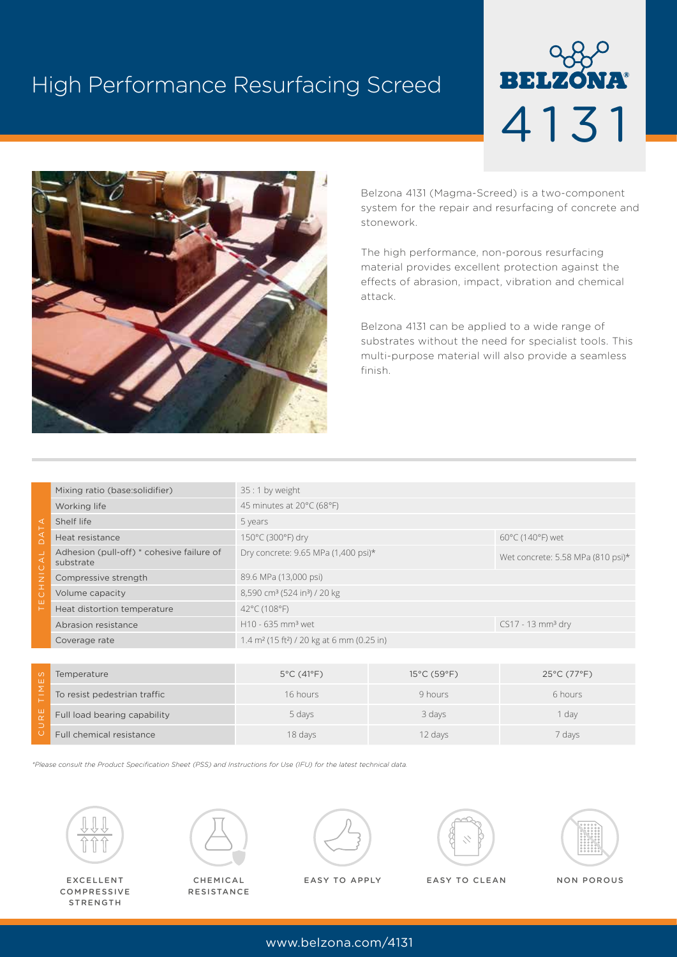# High Performance Resurfacing Screed





Belzona 4131 (Magma-Screed) is a two-component system for the repair and resurfacing of concrete and stonework.

The high performance, non-porous resurfacing material provides excellent protection against the effects of abrasion, impact, vibration and chemical attack.

Belzona 4131 can be applied to a wide range of substrates without the need for specialist tools. This multi-purpose material will also provide a seamless finish.

| ∢<br>$\overline{z}$<br>I<br>ш | Mixing ratio (base:solidifier)                         | 35 : 1 by weight                                                   |                                       |
|-------------------------------|--------------------------------------------------------|--------------------------------------------------------------------|---------------------------------------|
|                               | Working life                                           | 45 minutes at 20°C (68°F)                                          |                                       |
|                               | Shelf life                                             | 5 years                                                            |                                       |
|                               | Heat resistance                                        | 150°C (300°F) dry                                                  | $60^{\circ}$ C (140 $^{\circ}$ F) wet |
|                               | Adhesion (pull-off) * cohesive failure of<br>substrate | Dry concrete: 9.65 MPa (1,400 psi)*                                | Wet concrete: 5.58 MPa (810 psi)*     |
|                               | Compressive strength                                   | 89.6 MPa (13,000 psi)                                              |                                       |
|                               | Volume capacity                                        | 8,590 cm <sup>3</sup> (524 in <sup>3</sup> ) / 20 kg               |                                       |
|                               | Heat distortion temperature                            | 42°C (108°F)                                                       |                                       |
|                               | Abrasion resistance                                    | H10 - 635 mm <sup>3</sup> wet                                      | $CS17 - 13$ mm <sup>3</sup> dry       |
|                               | Coverage rate                                          | 1.4 m <sup>2</sup> (15 ft <sup>2</sup> ) / 20 kg at 6 mm (0.25 in) |                                       |
|                               |                                                        |                                                                    |                                       |

| Temperature                  | $5^{\circ}$ C (41 $^{\circ}$ F) | $15^{\circ}$ C (59 $^{\circ}$ F) | $25^{\circ}$ C (77 $^{\circ}$ F) |
|------------------------------|---------------------------------|----------------------------------|----------------------------------|
| To resist pedestrian traffic | 16 hours                        | 9 hours                          | 6 hours                          |
| Full load bearing capability | 5 days                          | 3 days                           | 1 dav                            |
| Full chemical resistance     | 18 days                         | 12 days                          | 7 days                           |

*\*Please consult the Product Specification Sheet (PSS) and Instructions for Use (IFU) for the latest technical data.*



EXCELLENT COMPRESSIVE STRENGTH



**RESISTANCE** 



CHEMICAL NON POROUS EASY TO APPLY EASY TO CLEAN